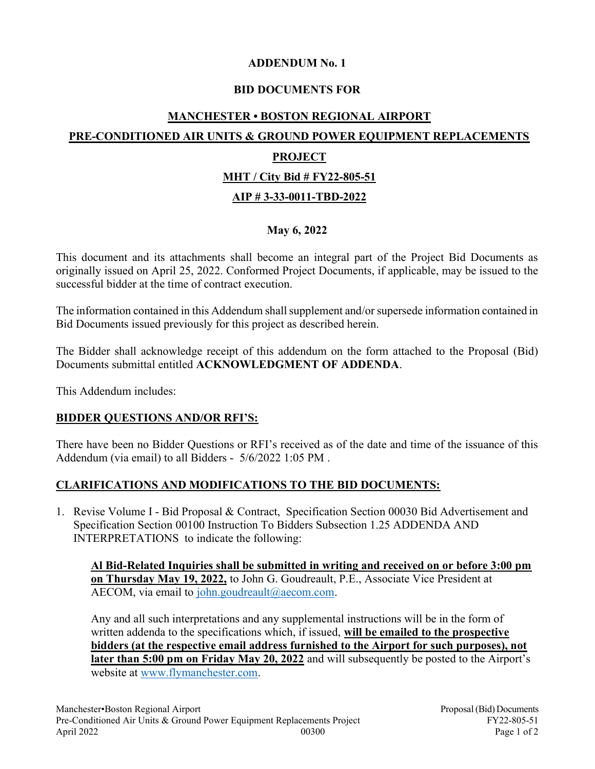## ADDENDUM No. 1

## BID DOCUMENTS FOR

# MANCHESTER • BOSTON REGIONAL AIRPORT PRE-CONDITIONED AIR UNITS & GROUND POWER EQUIPMENT REPLACEMENTS PROJECT MHT / City Bid # FY22-805-51 AIP # 3-33-0011-TBD-2022

## May 6, 2022

This document and its attachments shall become an integral part of the Project Bid Documents as originally issued on April 25, 2022. Conformed Project Documents, if applicable, may be issued to the successful bidder at the time of contract execution.

The information contained in this Addendum shall supplement and/or supersede information contained in Bid Documents issued previously for this project as described herein.

The Bidder shall acknowledge receipt of this addendum on the form attached to the Proposal (Bid) Documents submittal entitled ACKNOWLEDGMENT OF ADDENDA.

This Addendum includes:

## BIDDER QUESTIONS AND/OR RFI'S:

There have been no Bidder Questions or RFI's received as of the date and time of the issuance of this Addendum (via email) to all Bidders - 5/6/2022 1:05 PM .

## CLARIFICATIONS AND MODIFICATIONS TO THE BID DOCUMENTS:

1. Revise Volume I - Bid Proposal & Contract, Specification Section 00030 Bid Advertisement and Specification Section 00100 Instruction To Bidders Subsection 1.25 ADDENDA AND INTERPRETATIONS to indicate the following:

Al Bid-Related Inquiries shall be submitted in writing and received on or before 3:00 pm on Thursday May 19, 2022, to John G. Goudreault, P.E., Associate Vice President at AECOM, via email to john.goudreault@aecom.com.

Any and all such interpretations and any supplemental instructions will be in the form of written addenda to the specifications which, if issued, will be emailed to the prospective bidders (at the respective email address furnished to the Airport for such purposes), not later than 5:00 pm on Friday May 20, 2022 and will subsequently be posted to the Airport's website at www.flymanchester.com.